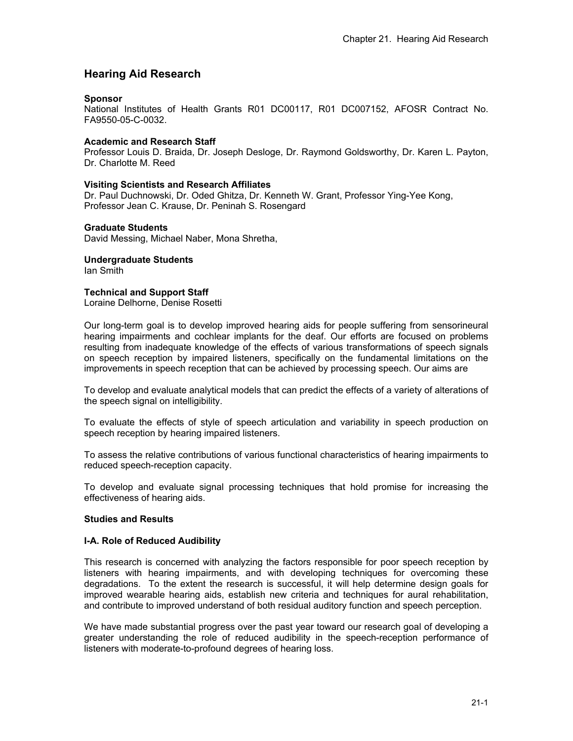# **Hearing Aid Research**

### **Sponsor**

National Institutes of Health Grants R01 DC00117, R01 DC007152, AFOSR Contract No. FA9550-05-C-0032.

### **Academic and Research Staff**

Professor Louis D. Braida, Dr. Joseph Desloge, Dr. Raymond Goldsworthy, Dr. Karen L. Payton, Dr. Charlotte M. Reed

### **Visiting Scientists and Research Affiliates**

Dr. Paul Duchnowski, Dr. Oded Ghitza, Dr. Kenneth W. Grant, Professor Ying-Yee Kong, Professor Jean C. Krause, Dr. Peninah S. Rosengard

#### **Graduate Students**

David Messing, Michael Naber, Mona Shretha,

### **Undergraduate Students**

Ian Smith

### **Technical and Support Staff**

Loraine Delhorne, Denise Rosetti

Our long-term goal is to develop improved hearing aids for people suffering from sensorineural hearing impairments and cochlear implants for the deaf. Our efforts are focused on problems resulting from inadequate knowledge of the effects of various transformations of speech signals on speech reception by impaired listeners, specifically on the fundamental limitations on the improvements in speech reception that can be achieved by processing speech. Our aims are

To develop and evaluate analytical models that can predict the effects of a variety of alterations of the speech signal on intelligibility.

To evaluate the effects of style of speech articulation and variability in speech production on speech reception by hearing impaired listeners.

To assess the relative contributions of various functional characteristics of hearing impairments to reduced speech-reception capacity.

To develop and evaluate signal processing techniques that hold promise for increasing the effectiveness of hearing aids.

### **Studies and Results**

#### **I-A. Role of Reduced Audibility**

This research is concerned with analyzing the factors responsible for poor speech reception by listeners with hearing impairments, and with developing techniques for overcoming these degradations. To the extent the research is successful, it will help determine design goals for improved wearable hearing aids, establish new criteria and techniques for aural rehabilitation, and contribute to improved understand of both residual auditory function and speech perception.

We have made substantial progress over the past year toward our research goal of developing a greater understanding the role of reduced audibility in the speech-reception performance of listeners with moderate-to-profound degrees of hearing loss.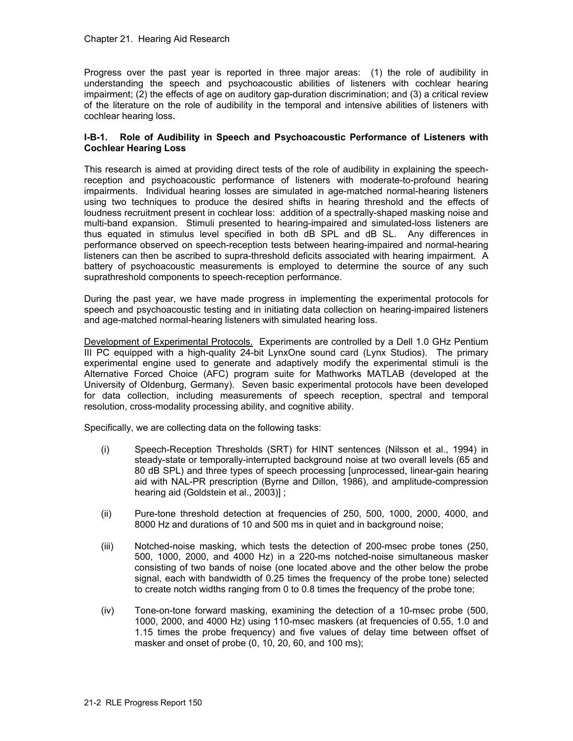#### Chapter 21. Hearing Aid Research

Progress over the past year is reported in three major areas: (1) the role of audibility in understanding the speech and psychoacoustic abilities of listeners with cochlear hearing impairment; (2) the effects of age on auditory gap-duration discrimination; and (3) a critical review of the literature on the role of audibility in the temporal and intensive abilities of listeners with cochlear hearing loss.

#### **I-B-1. Role of Audibility in Speech and Psychoacoustic Performance of Listeners with Cochlear Hearing Loss**

This research is aimed at providing direct tests of the role of audibility in explaining the speechreception and psychoacoustic performance of listeners with moderate-to-profound hearing impairments. Individual hearing losses are simulated in age-matched normal-hearing listeners using two techniques to produce the desired shifts in hearing threshold and the effects of loudness recruitment present in cochlear loss: addition of a spectrally-shaped masking noise and multi-band expansion. Stimuli presented to hearing-impaired and simulated-loss listeners are thus equated in stimulus level specified in both dB SPL and dB SL. Any differences in performance observed on speech-reception tests between hearing-impaired and normal-hearing listeners can then be ascribed to supra-threshold deficits associated with hearing impairment. A battery of psychoacoustic measurements is employed to determine the source of any such suprathreshold components to speech-reception performance.

During the past year, we have made progress in implementing the experimental protocols for speech and psychoacoustic testing and in initiating data collection on hearing-impaired listeners and age-matched normal-hearing listeners with simulated hearing loss.

Development of Experimental Protocols. Experiments are controlled by a Dell 1.0 GHz Pentium III PC equipped with a high-quality 24-bit LynxOne sound card (Lynx Studios). The primary experimental engine used to generate and adaptively modify the experimental stimuli is the Alternative Forced Choice (AFC) program suite for Mathworks MATLAB (developed at the University of Oldenburg, Germany). Seven basic experimental protocols have been developed for data collection, including measurements of speech reception, spectral and temporal resolution, cross-modality processing ability, and cognitive ability.

Specifically, we are collecting data on the following tasks:

- (i) Speech-Reception Thresholds (SRT) for HINT sentences (Nilsson et al., 1994) in steady-state or temporally-interrupted background noise at two overall levels (65 and 80 dB SPL) and three types of speech processing [unprocessed, linear-gain hearing aid with NAL-PR prescription (Byrne and Dillon, 1986), and amplitude-compression hearing aid (Goldstein et al., 2003)] ;
- (ii) Pure-tone threshold detection at frequencies of 250, 500, 1000, 2000, 4000, and 8000 Hz and durations of 10 and 500 ms in quiet and in background noise;
- (iii) Notched-noise masking, which tests the detection of 200-msec probe tones (250, 500, 1000, 2000, and 4000 Hz) in a 220-ms notched-noise simultaneous masker consisting of two bands of noise (one located above and the other below the probe signal, each with bandwidth of 0.25 times the frequency of the probe tone) selected to create notch widths ranging from 0 to 0.8 times the frequency of the probe tone;
- (iv) Tone-on-tone forward masking, examining the detection of a 10-msec probe (500, 1000, 2000, and 4000 Hz) using 110-msec maskers (at frequencies of 0.55, 1.0 and 1.15 times the probe frequency) and five values of delay time between offset of masker and onset of probe (0, 10, 20, 60, and 100 ms);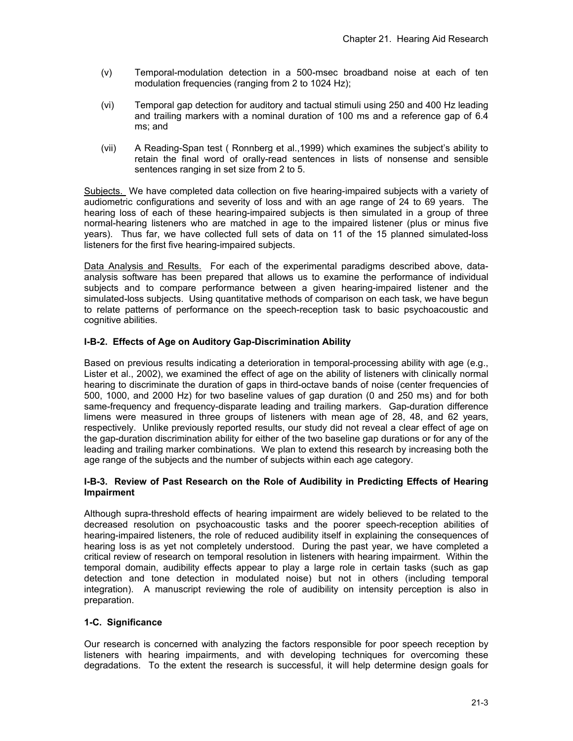- (v) Temporal-modulation detection in a 500-msec broadband noise at each of ten modulation frequencies (ranging from 2 to 1024 Hz);
- (vi) Temporal gap detection for auditory and tactual stimuli using 250 and 400 Hz leading and trailing markers with a nominal duration of 100 ms and a reference gap of 6.4 ms; and
- (vii) A Reading-Span test ( Ronnberg et al.,1999) which examines the subject's ability to retain the final word of orally-read sentences in lists of nonsense and sensible sentences ranging in set size from 2 to 5.

Subjects. We have completed data collection on five hearing-impaired subjects with a variety of audiometric configurations and severity of loss and with an age range of 24 to 69 years. The hearing loss of each of these hearing-impaired subjects is then simulated in a group of three normal-hearing listeners who are matched in age to the impaired listener (plus or minus five years). Thus far, we have collected full sets of data on 11 of the 15 planned simulated-loss listeners for the first five hearing-impaired subjects.

Data Analysis and Results. For each of the experimental paradigms described above, dataanalysis software has been prepared that allows us to examine the performance of individual subjects and to compare performance between a given hearing-impaired listener and the simulated-loss subjects. Using quantitative methods of comparison on each task, we have begun to relate patterns of performance on the speech-reception task to basic psychoacoustic and cognitive abilities.

# **I-B-2. Effects of Age on Auditory Gap-Discrimination Ability**

Based on previous results indicating a deterioration in temporal-processing ability with age (e.g., Lister et al., 2002), we examined the effect of age on the ability of listeners with clinically normal hearing to discriminate the duration of gaps in third-octave bands of noise (center frequencies of 500, 1000, and 2000 Hz) for two baseline values of gap duration (0 and 250 ms) and for both same-frequency and frequency-disparate leading and trailing markers. Gap-duration difference limens were measured in three groups of listeners with mean age of 28, 48, and 62 years, respectively. Unlike previously reported results, our study did not reveal a clear effect of age on the gap-duration discrimination ability for either of the two baseline gap durations or for any of the leading and trailing marker combinations. We plan to extend this research by increasing both the age range of the subjects and the number of subjects within each age category.

### **I-B-3. Review of Past Research on the Role of Audibility in Predicting Effects of Hearing Impairment**

Although supra-threshold effects of hearing impairment are widely believed to be related to the decreased resolution on psychoacoustic tasks and the poorer speech-reception abilities of hearing-impaired listeners, the role of reduced audibility itself in explaining the consequences of hearing loss is as yet not completely understood. During the past year, we have completed a critical review of research on temporal resolution in listeners with hearing impairment. Within the temporal domain, audibility effects appear to play a large role in certain tasks (such as gap detection and tone detection in modulated noise) but not in others (including temporal integration). A manuscript reviewing the role of audibility on intensity perception is also in preparation.

# **1-C. Significance**

Our research is concerned with analyzing the factors responsible for poor speech reception by listeners with hearing impairments, and with developing techniques for overcoming these degradations. To the extent the research is successful, it will help determine design goals for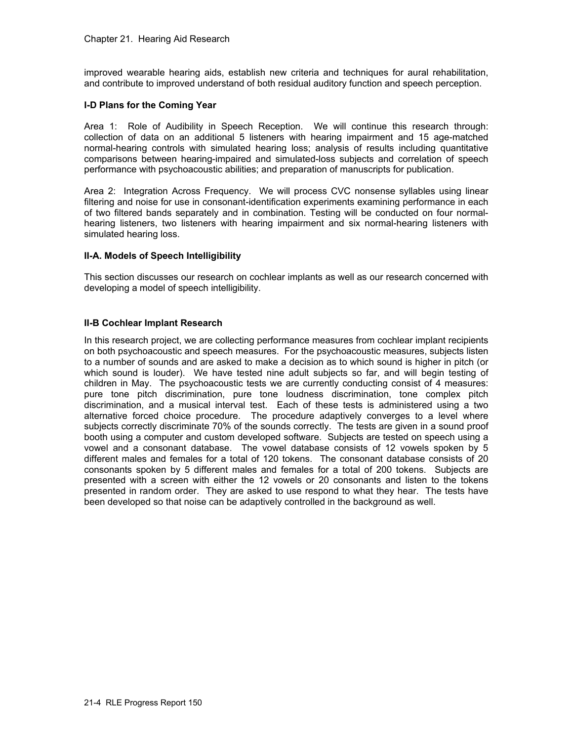improved wearable hearing aids, establish new criteria and techniques for aural rehabilitation, and contribute to improved understand of both residual auditory function and speech perception.

# **I-D Plans for the Coming Year**

Area 1: Role of Audibility in Speech Reception. We will continue this research through: collection of data on an additional 5 listeners with hearing impairment and 15 age-matched normal-hearing controls with simulated hearing loss; analysis of results including quantitative comparisons between hearing-impaired and simulated-loss subjects and correlation of speech performance with psychoacoustic abilities; and preparation of manuscripts for publication.

Area 2: Integration Across Frequency. We will process CVC nonsense syllables using linear filtering and noise for use in consonant-identification experiments examining performance in each of two filtered bands separately and in combination. Testing will be conducted on four normalhearing listeners, two listeners with hearing impairment and six normal-hearing listeners with simulated hearing loss.

### **II-A. Models of Speech Intelligibility**

This section discusses our research on cochlear implants as well as our research concerned with developing a model of speech intelligibility.

### **II-B Cochlear Implant Research**

In this research project, we are collecting performance measures from cochlear implant recipients on both psychoacoustic and speech measures. For the psychoacoustic measures, subjects listen to a number of sounds and are asked to make a decision as to which sound is higher in pitch (or which sound is louder). We have tested nine adult subjects so far, and will begin testing of children in May. The psychoacoustic tests we are currently conducting consist of 4 measures: pure tone pitch discrimination, pure tone loudness discrimination, tone complex pitch discrimination, and a musical interval test. Each of these tests is administered using a two alternative forced choice procedure. The procedure adaptively converges to a level where subjects correctly discriminate 70% of the sounds correctly. The tests are given in a sound proof booth using a computer and custom developed software. Subjects are tested on speech using a vowel and a consonant database. The vowel database consists of 12 vowels spoken by 5 different males and females for a total of 120 tokens. The consonant database consists of 20 consonants spoken by 5 different males and females for a total of 200 tokens. Subjects are presented with a screen with either the 12 vowels or 20 consonants and listen to the tokens presented in random order. They are asked to use respond to what they hear. The tests have been developed so that noise can be adaptively controlled in the background as well.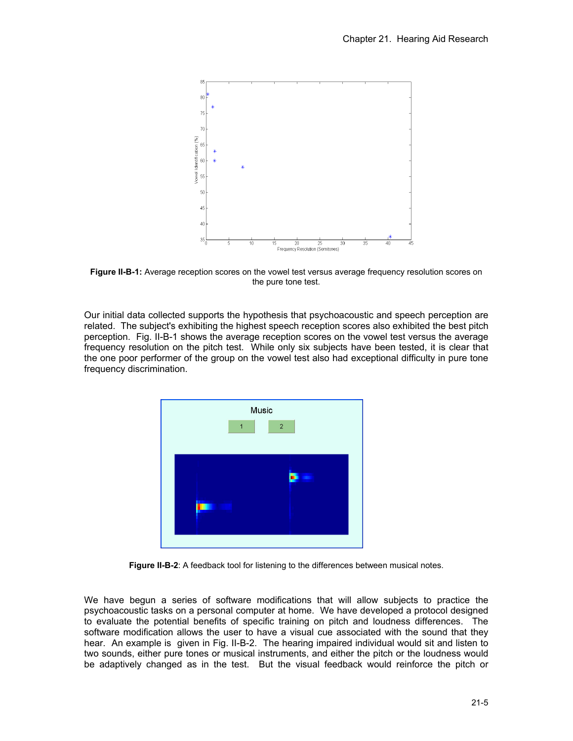

**Figure II-B-1:** Average reception scores on the vowel test versus average frequency resolution scores on the pure tone test.

Our initial data collected supports the hypothesis that psychoacoustic and speech perception are related. The subject's exhibiting the highest speech reception scores also exhibited the best pitch perception. Fig. II-B-1 shows the average reception scores on the vowel test versus the average frequency resolution on the pitch test. While only six subjects have been tested, it is clear that the one poor performer of the group on the vowel test also had exceptional difficulty in pure tone frequency discrimination.



**Figure II-B-2**: A feedback tool for listening to the differences between musical notes.

We have begun a series of software modifications that will allow subjects to practice the psychoacoustic tasks on a personal computer at home. We have developed a protocol designed to evaluate the potential benefits of specific training on pitch and loudness differences. The software modification allows the user to have a visual cue associated with the sound that they hear. An example is given in Fig. II-B-2. The hearing impaired individual would sit and listen to two sounds, either pure tones or musical instruments, and either the pitch or the loudness would be adaptively changed as in the test. But the visual feedback would reinforce the pitch or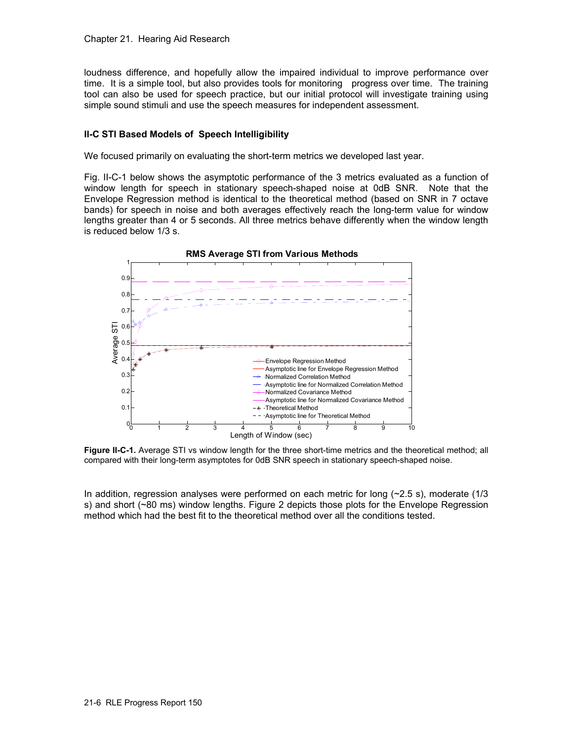loudness difference, and hopefully allow the impaired individual to improve performance over time. It is a simple tool, but also provides tools for monitoring progress over time. The training tool can also be used for speech practice, but our initial protocol will investigate training using simple sound stimuli and use the speech measures for independent assessment.

### **II-C STI Based Models of Speech Intelligibility**

We focused primarily on evaluating the short-term metrics we developed last year.

Fig. II-C-1 below shows the asymptotic performance of the 3 metrics evaluated as a function of window length for speech in stationary speech-shaped noise at 0dB SNR. Note that the Envelope Regression method is identical to the theoretical method (based on SNR in 7 octave bands) for speech in noise and both averages effectively reach the long-term value for window lengths greater than 4 or 5 seconds. All three metrics behave differently when the window length is reduced below 1/3 s.



**Figure II-C-1.** Average STI vs window length for the three short-time metrics and the theoretical method; all compared with their long-term asymptotes for 0dB SNR speech in stationary speech-shaped noise.

In addition, regression analyses were performed on each metric for long (~2.5 s), moderate (1/3 s) and short (~80 ms) window lengths. Figure 2 depicts those plots for the Envelope Regression method which had the best fit to the theoretical method over all the conditions tested.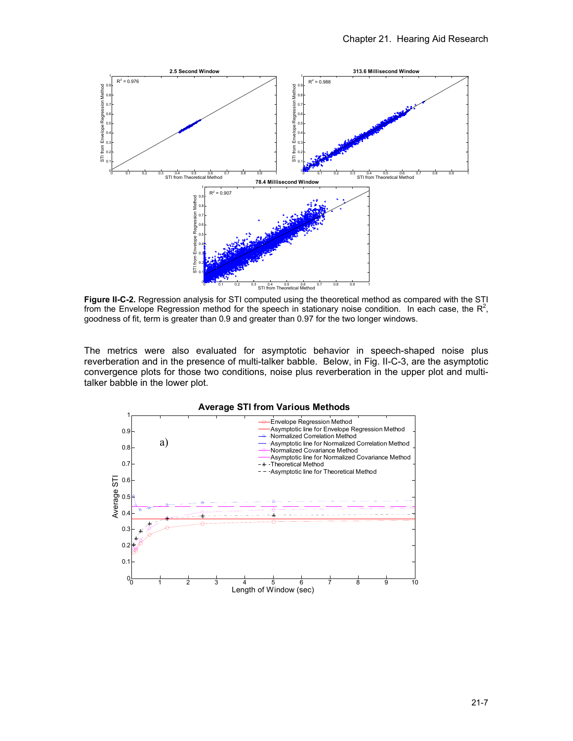

**Figure II-C-2.** Regression analysis for STI computed using the theoretical method as compared with the STI from the Envelope Regression method for the speech in stationary noise condition. In each case, the  $R^2$ , goodness of fit, term is greater than 0.9 and greater than 0.97 for the two longer windows.

The metrics were also evaluated for asymptotic behavior in speech-shaped noise plus reverberation and in the presence of multi-talker babble. Below, in Fig. II-C-3, are the asymptotic convergence plots for those two conditions, noise plus reverberation in the upper plot and multitalker babble in the lower plot.

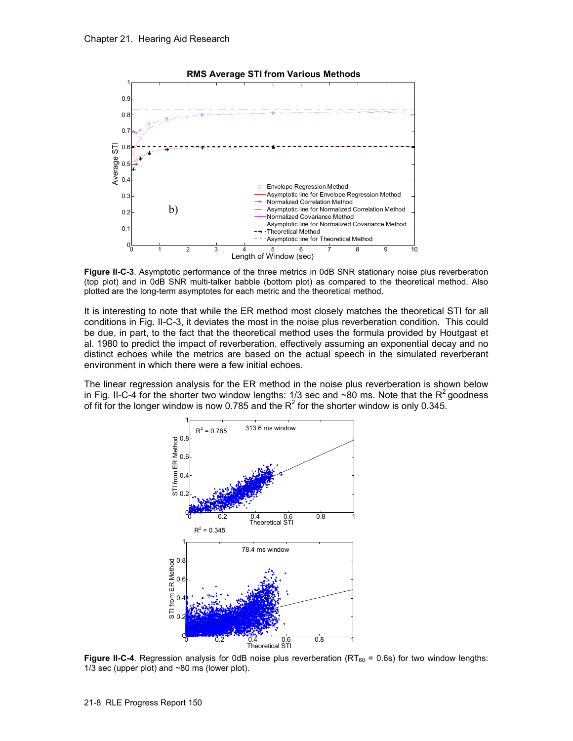

**Figure II-C-3**. Asymptotic performance of the three metrics in 0dB SNR stationary noise plus reverberation (top plot) and in 0dB SNR multi-talker babble (bottom plot) as compared to the theoretical method. Also plotted are the long-term asymptotes for each metric and the theoretical method.

It is interesting to note that while the ER method most closely matches the theoretical STI for all conditions in Fig. II-C-3, it deviates the most in the noise plus reverberation condition. This could be due, in part, to the fact that the theoretical method uses the formula provided by Houtgast et al. 1980 to predict the impact of reverberation, effectively assuming an exponential decay and no distinct echoes while the metrics are based on the actual speech in the simulated reverberant environment in which there were a few initial echoes.

The linear regression analysis for the ER method in the noise plus reverberation is shown below in Fig. II-C-4 for the shorter two window lengths: 1/3 sec and  $\sim$ 80 ms. Note that the R<sup>2</sup> goodness of fit for the longer window is now 0.785 and the R<sup>2</sup> for the shorter window is only 0.345.



**Figure II-C-4**. Regression analysis for 0dB noise plus reverberation (RT $_{60}$  = 0.6s) for two window lengths: 1/3 sec (upper plot) and ~80 ms (lower plot).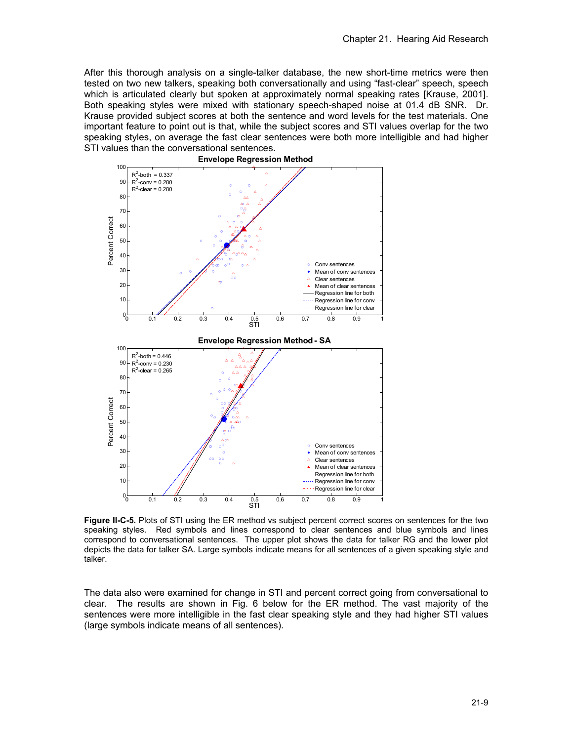After this thorough analysis on a single-talker database, the new short-time metrics were then tested on two new talkers, speaking both conversationally and using "fast-clear" speech, speech which is articulated clearly but spoken at approximately normal speaking rates [Krause, 2001]. Both speaking styles were mixed with stationary speech-shaped noise at 01.4 dB SNR. Dr. Krause provided subject scores at both the sentence and word levels for the test materials. One important feature to point out is that, while the subject scores and STI values overlap for the two speaking styles, on average the fast clear sentences were both more intelligible and had higher STI values than the conversational sentences.



**Figure II-C-5.** Plots of STI using the ER method vs subject percent correct scores on sentences for the two speaking styles. Red symbols and lines correspond to clear sentences and blue symbols and lines correspond to conversational sentences. The upper plot shows the data for talker RG and the lower plot depicts the data for talker SA. Large symbols indicate means for all sentences of a given speaking style and talker.

The data also were examined for change in STI and percent correct going from conversational to clear. The results are shown in Fig. 6 below for the ER method. The vast majority of the sentences were more intelligible in the fast clear speaking style and they had higher STI values (large symbols indicate means of all sentences).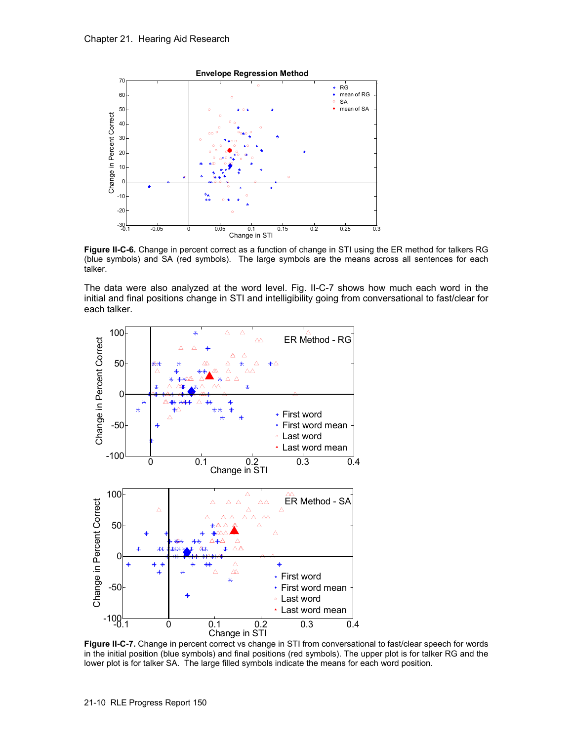

**Figure II-C-6.** Change in percent correct as a function of change in STI using the ER method for talkers RG (blue symbols) and SA (red symbols). The large symbols are the means across all sentences for each talker.

The data were also analyzed at the word level. Fig. II-C-7 shows how much each word in the initial and final positions change in STI and intelligibility going from conversational to fast/clear for each talker.



**Figure II-C-7.** Change in percent correct vs change in STI from conversational to fast/clear speech for words in the initial position (blue symbols) and final positions (red symbols). The upper plot is for talker RG and the lower plot is for talker SA. The large filled symbols indicate the means for each word position.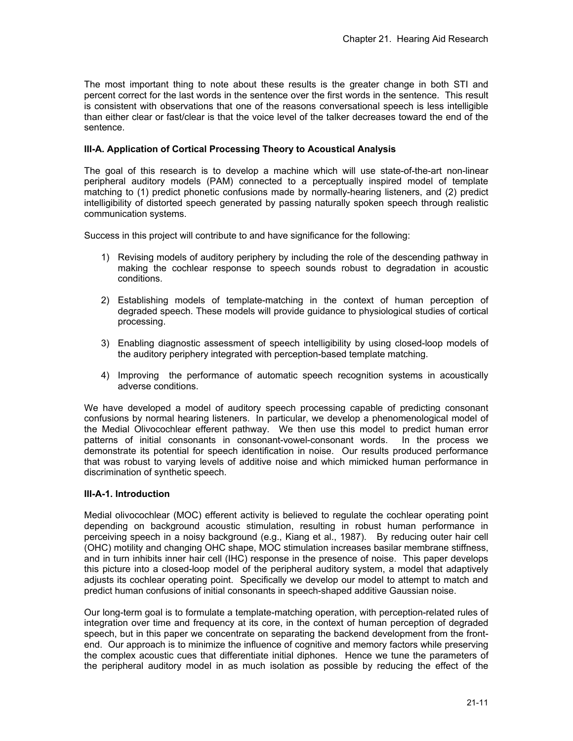The most important thing to note about these results is the greater change in both STI and percent correct for the last words in the sentence over the first words in the sentence. This result is consistent with observations that one of the reasons conversational speech is less intelligible than either clear or fast/clear is that the voice level of the talker decreases toward the end of the sentence.

### **III-A. Application of Cortical Processing Theory to Acoustical Analysis**

The goal of this research is to develop a machine which will use state-of-the-art non-linear peripheral auditory models (PAM) connected to a perceptually inspired model of template matching to (1) predict phonetic confusions made by normally-hearing listeners, and (2) predict intelligibility of distorted speech generated by passing naturally spoken speech through realistic communication systems.

Success in this project will contribute to and have significance for the following:

- 1) Revising models of auditory periphery by including the role of the descending pathway in making the cochlear response to speech sounds robust to degradation in acoustic conditions.
- 2) Establishing models of template-matching in the context of human perception of degraded speech. These models will provide guidance to physiological studies of cortical processing.
- 3) Enabling diagnostic assessment of speech intelligibility by using closed-loop models of the auditory periphery integrated with perception-based template matching.
- 4) Improving the performance of automatic speech recognition systems in acoustically adverse conditions.

We have developed a model of auditory speech processing capable of predicting consonant confusions by normal hearing listeners. In particular, we develop a phenomenological model of the Medial Olivocochlear efferent pathway. We then use this model to predict human error patterns of initial consonants in consonant-vowel-consonant words. In the process we demonstrate its potential for speech identification in noise. Our results produced performance that was robust to varying levels of additive noise and which mimicked human performance in discrimination of synthetic speech.

#### **III-A-1. Introduction**

Medial olivocochlear (MOC) efferent activity is believed to regulate the cochlear operating point depending on background acoustic stimulation, resulting in robust human performance in perceiving speech in a noisy background (e.g., Kiang et al., 1987). By reducing outer hair cell (OHC) motility and changing OHC shape, MOC stimulation increases basilar membrane stiffness, and in turn inhibits inner hair cell (IHC) response in the presence of noise. This paper develops this picture into a closed-loop model of the peripheral auditory system, a model that adaptively adjusts its cochlear operating point. Specifically we develop our model to attempt to match and predict human confusions of initial consonants in speech-shaped additive Gaussian noise.

Our long-term goal is to formulate a template-matching operation, with perception-related rules of integration over time and frequency at its core, in the context of human perception of degraded speech, but in this paper we concentrate on separating the backend development from the frontend. Our approach is to minimize the influence of cognitive and memory factors while preserving the complex acoustic cues that differentiate initial diphones. Hence we tune the parameters of the peripheral auditory model in as much isolation as possible by reducing the effect of the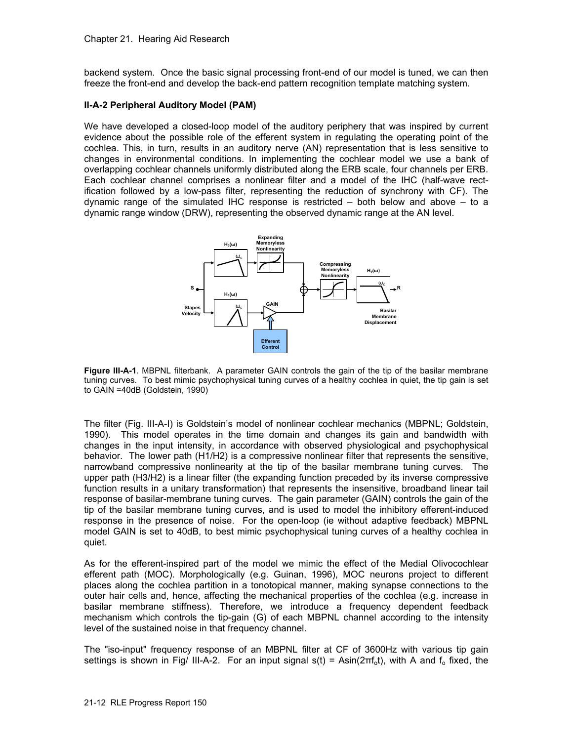backend system. Once the basic signal processing front-end of our model is tuned, we can then freeze the front-end and develop the back-end pattern recognition template matching system.

### **II-A-2 Peripheral Auditory Model (PAM)**

We have developed a closed-loop model of the auditory periphery that was inspired by current evidence about the possible role of the efferent system in regulating the operating point of the cochlea. This, in turn, results in an auditory nerve (AN) representation that is less sensitive to changes in environmental conditions. In implementing the cochlear model we use a bank of overlapping cochlear channels uniformly distributed along the ERB scale, four channels per ERB. Each cochlear channel comprises a nonlinear filter and a model of the IHC (half-wave rectification followed by a low-pass filter, representing the reduction of synchrony with CF). The dynamic range of the simulated IHC response is restricted  $-$  both below and above  $-$  to a dynamic range window (DRW), representing the observed dynamic range at the AN level.



**Figure III-A-1**. MBPNL filterbank. A parameter GAIN controls the gain of the tip of the basilar membrane tuning curves. To best mimic psychophysical tuning curves of a healthy cochlea in quiet, the tip gain is set to GAIN =40dB (Goldstein, 1990)

The filter (Fig. III-A-I) is Goldstein's model of nonlinear cochlear mechanics (MBPNL; Goldstein, 1990). This model operates in the time domain and changes its gain and bandwidth with changes in the input intensity, in accordance with observed physiological and psychophysical behavior. The lower path (H1/H2) is a compressive nonlinear filter that represents the sensitive, narrowband compressive nonlinearity at the tip of the basilar membrane tuning curves. The upper path (H3/H2) is a linear filter (the expanding function preceded by its inverse compressive function results in a unitary transformation) that represents the insensitive, broadband linear tail response of basilar-membrane tuning curves. The gain parameter (GAIN) controls the gain of the tip of the basilar membrane tuning curves, and is used to model the inhibitory efferent-induced response in the presence of noise. For the open-loop (ie without adaptive feedback) MBPNL model GAIN is set to 40dB, to best mimic psychophysical tuning curves of a healthy cochlea in quiet.

As for the efferent-inspired part of the model we mimic the effect of the Medial Olivocochlear efferent path (MOC). Morphologically (e.g. Guinan, 1996), MOC neurons project to different places along the cochlea partition in a tonotopical manner, making synapse connections to the outer hair cells and, hence, affecting the mechanical properties of the cochlea (e.g. increase in basilar membrane stiffness). Therefore, we introduce a frequency dependent feedback mechanism which controls the tip-gain (G) of each MBPNL channel according to the intensity level of the sustained noise in that frequency channel.

The "iso-input" frequency response of an MBPNL filter at CF of 3600Hz with various tip gain settings is shown in Fig/ III-A-2. For an input signal  $s(t) = Asin(2\pi f_0 t)$ , with A and  $f_0$  fixed, the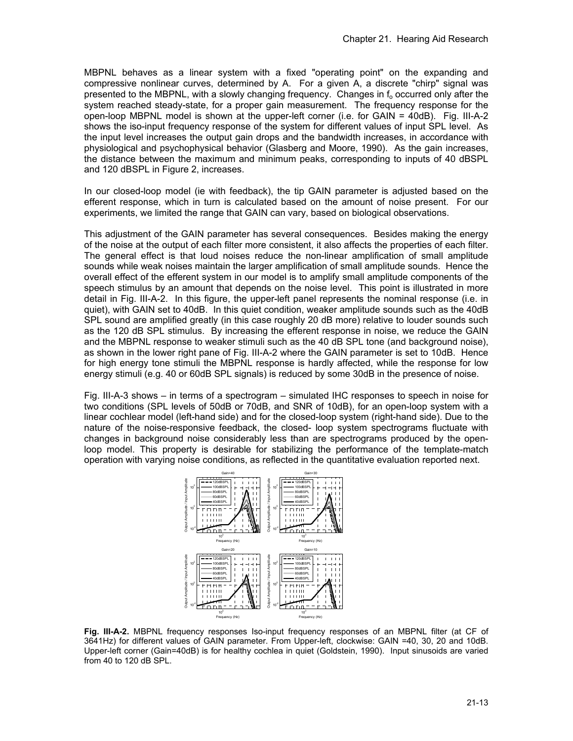MBPNL behaves as a linear system with a fixed "operating point" on the expanding and compressive nonlinear curves, determined by A. For a given A, a discrete "chirp" signal was presented to the MBPNL, with a slowly changing frequency. Changes in  $f_0$  occurred only after the system reached steady-state, for a proper gain measurement. The frequency response for the open-loop MBPNL model is shown at the upper-left corner (i.e. for GAIN = 40dB). Fig. III-A-2 shows the iso-input frequency response of the system for different values of input SPL level. As the input level increases the output gain drops and the bandwidth increases, in accordance with physiological and psychophysical behavior (Glasberg and Moore, 1990). As the gain increases, the distance between the maximum and minimum peaks, corresponding to inputs of 40 dBSPL and 120 dBSPL in Figure 2, increases.

In our closed-loop model (ie with feedback), the tip GAIN parameter is adjusted based on the efferent response, which in turn is calculated based on the amount of noise present. For our experiments, we limited the range that GAIN can vary, based on biological observations.

This adjustment of the GAIN parameter has several consequences. Besides making the energy of the noise at the output of each filter more consistent, it also affects the properties of each filter. The general effect is that loud noises reduce the non-linear amplification of small amplitude sounds while weak noises maintain the larger amplification of small amplitude sounds. Hence the overall effect of the efferent system in our model is to amplify small amplitude components of the speech stimulus by an amount that depends on the noise level. This point is illustrated in more detail in Fig. III-A-2. In this figure, the upper-left panel represents the nominal response (i.e. in quiet), with GAIN set to 40dB. In this quiet condition, weaker amplitude sounds such as the 40dB SPL sound are amplified greatly (in this case roughly 20 dB more) relative to louder sounds such as the 120 dB SPL stimulus. By increasing the efferent response in noise, we reduce the GAIN and the MBPNL response to weaker stimuli such as the 40 dB SPL tone (and background noise), as shown in the lower right pane of Fig. III-A-2 where the GAIN parameter is set to 10dB. Hence for high energy tone stimuli the MBPNL response is hardly affected, while the response for low energy stimuli (e.g. 40 or 60dB SPL signals) is reduced by some 30dB in the presence of noise.

Fig. III-A-3 shows – in terms of a spectrogram – simulated IHC responses to speech in noise for two conditions (SPL levels of 50dB or 70dB, and SNR of 10dB), for an open-loop system with a linear cochlear model (left-hand side) and for the closed-loop system (right-hand side). Due to the nature of the noise-responsive feedback, the closed- loop system spectrograms fluctuate with changes in background noise considerably less than are spectrograms produced by the openloop model. This property is desirable for stabilizing the performance of the template-match operation with varying noise conditions, as reflected in the quantitative evaluation reported next.



**Fig. III-A-2.** MBPNL frequency responses Iso-input frequency responses of an MBPNL filter (at CF of 3641Hz) for different values of GAIN parameter. From Upper-left, clockwise: GAIN =40, 30, 20 and 10dB. Upper-left corner (Gain=40dB) is for healthy cochlea in quiet (Goldstein, 1990). Input sinusoids are varied from 40 to 120 dB SPL.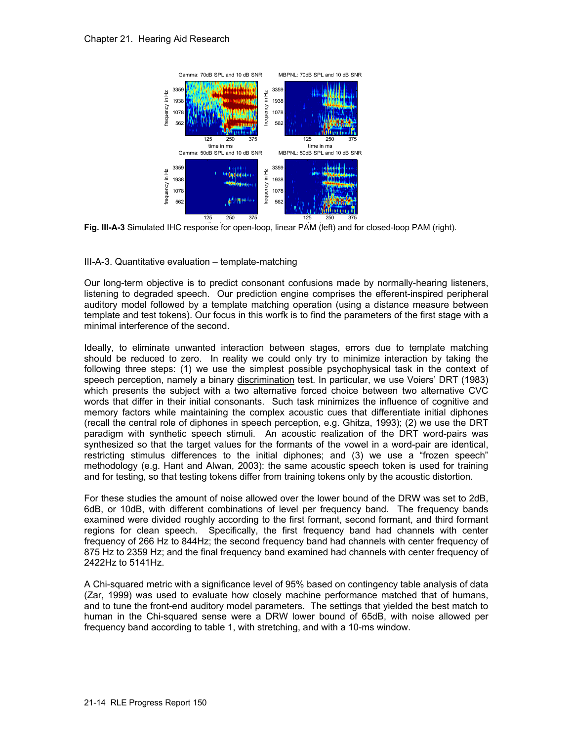

Fig. III-A-3 Simulated IHC response for open-loop, linear PAM (left) and for closed-loop PAM (right).

III-A-3. Quantitative evaluation – template-matching

Our long-term objective is to predict consonant confusions made by normally-hearing listeners, listening to degraded speech. Our prediction engine comprises the efferent-inspired peripheral auditory model followed by a template matching operation (using a distance measure between template and test tokens). Our focus in this worfk is to find the parameters of the first stage with a minimal interference of the second.

Ideally, to eliminate unwanted interaction between stages, errors due to template matching should be reduced to zero. In reality we could only try to minimize interaction by taking the following three steps: (1) we use the simplest possible psychophysical task in the context of speech perception, namely a binary discrimination test. In particular, we use Voiers' DRT (1983) which presents the subject with a two alternative forced choice between two alternative CVC words that differ in their initial consonants. Such task minimizes the influence of cognitive and memory factors while maintaining the complex acoustic cues that differentiate initial diphones (recall the central role of diphones in speech perception, e.g. Ghitza, 1993); (2) we use the DRT paradigm with synthetic speech stimuli. An acoustic realization of the DRT word-pairs was synthesized so that the target values for the formants of the vowel in a word-pair are identical, restricting stimulus differences to the initial diphones; and (3) we use a "frozen speech" methodology (e.g. Hant and Alwan, 2003): the same acoustic speech token is used for training and for testing, so that testing tokens differ from training tokens only by the acoustic distortion.

For these studies the amount of noise allowed over the lower bound of the DRW was set to 2dB, 6dB, or 10dB, with different combinations of level per frequency band. The frequency bands examined were divided roughly according to the first formant, second formant, and third formant regions for clean speech. Specifically, the first frequency band had channels with center frequency of 266 Hz to 844Hz; the second frequency band had channels with center frequency of 875 Hz to 2359 Hz; and the final frequency band examined had channels with center frequency of 2422Hz to 5141Hz.

A Chi-squared metric with a significance level of 95% based on contingency table analysis of data (Zar, 1999) was used to evaluate how closely machine performance matched that of humans, and to tune the front-end auditory model parameters. The settings that yielded the best match to human in the Chi-squared sense were a DRW lower bound of 65dB, with noise allowed per frequency band according to table 1, with stretching, and with a 10-ms window.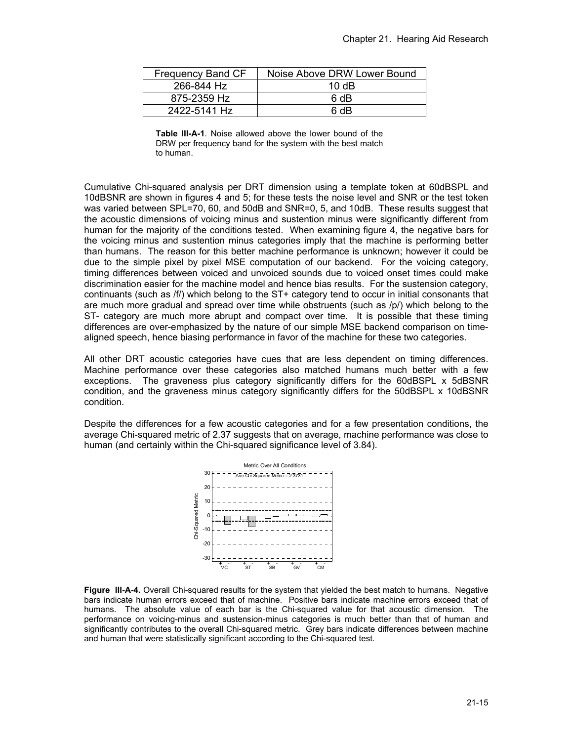| Frequency Band CF | Noise Above DRW Lower Bound |
|-------------------|-----------------------------|
| 266-844 Hz        | 10 $\overline{AB}$          |
| 875-2359 Hz       | 6 dB                        |
| 2422-5141 Hz      | 6 dB                        |

**Table III-A-1**. Noise allowed above the lower bound of the DRW per frequency band for the system with the best match to human.

Cumulative Chi-squared analysis per DRT dimension using a template token at 60dBSPL and 10dBSNR are shown in figures 4 and 5; for these tests the noise level and SNR or the test token was varied between SPL=70, 60, and 50dB and SNR=0, 5, and 10dB. These results suggest that the acoustic dimensions of voicing minus and sustention minus were significantly different from human for the majority of the conditions tested. When examining figure 4, the negative bars for the voicing minus and sustention minus categories imply that the machine is performing better than humans. The reason for this better machine performance is unknown; however it could be due to the simple pixel by pixel MSE computation of our backend. For the voicing category, timing differences between voiced and unvoiced sounds due to voiced onset times could make discrimination easier for the machine model and hence bias results. For the sustension category, continuants (such as /f/) which belong to the ST+ category tend to occur in initial consonants that are much more gradual and spread over time while obstruents (such as /p/) which belong to the ST- category are much more abrupt and compact over time. It is possible that these timing differences are over-emphasized by the nature of our simple MSE backend comparison on timealigned speech, hence biasing performance in favor of the machine for these two categories.

All other DRT acoustic categories have cues that are less dependent on timing differences. Machine performance over these categories also matched humans much better with a few exceptions. The graveness plus category significantly differs for the 60dBSPL x 5dBSNR condition, and the graveness minus category significantly differs for the 50dBSPL x 10dBSNR condition.

Despite the differences for a few acoustic categories and for a few presentation conditions, the average Chi-squared metric of 2.37 suggests that on average, machine performance was close to human (and certainly within the Chi-squared significance level of 3.84).



**Figure III-A-4.** Overall Chi-squared results for the system that yielded the best match to humans. Negative bars indicate human errors exceed that of machine. Positive bars indicate machine errors exceed that of humans. The absolute value of each bar is the Chi-squared value for that acoustic dimension. The performance on voicing-minus and sustension-minus categories is much better than that of human and significantly contributes to the overall Chi-squared metric. Grey bars indicate differences between machine and human that were statistically significant according to the Chi-squared test.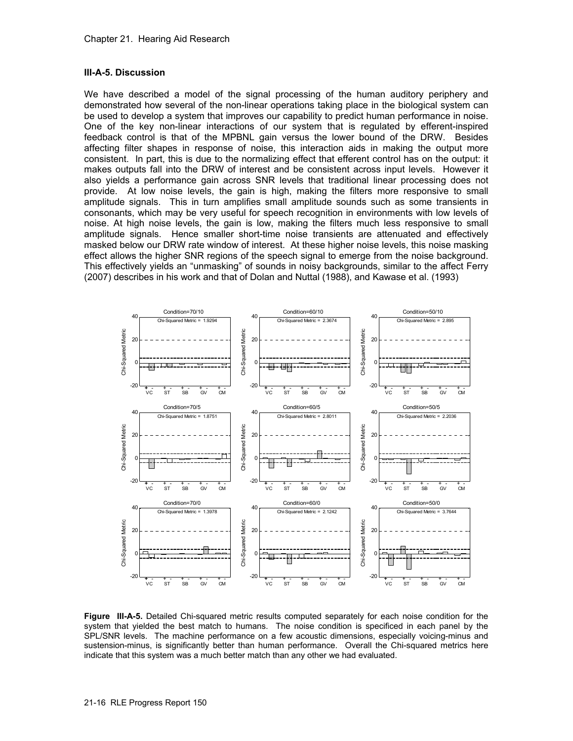### **III-A-5. Discussion**

We have described a model of the signal processing of the human auditory periphery and demonstrated how several of the non-linear operations taking place in the biological system can be used to develop a system that improves our capability to predict human performance in noise. One of the key non-linear interactions of our system that is regulated by efferent-inspired feedback control is that of the MPBNL gain versus the lower bound of the DRW. Besides affecting filter shapes in response of noise, this interaction aids in making the output more consistent. In part, this is due to the normalizing effect that efferent control has on the output: it makes outputs fall into the DRW of interest and be consistent across input levels. However it also yields a performance gain across SNR levels that traditional linear processing does not provide. At low noise levels, the gain is high, making the filters more responsive to small amplitude signals. This in turn amplifies small amplitude sounds such as some transients in consonants, which may be very useful for speech recognition in environments with low levels of noise. At high noise levels, the gain is low, making the filters much less responsive to small amplitude signals. Hence smaller short-time noise transients are attenuated and effectively masked below our DRW rate window of interest. At these higher noise levels, this noise masking effect allows the higher SNR regions of the speech signal to emerge from the noise background. This effectively yields an "unmasking" of sounds in noisy backgrounds, similar to the affect Ferry (2007) describes in his work and that of Dolan and Nuttal (1988), and Kawase et al. (1993)



**Figure III-A-5.** Detailed Chi-squared metric results computed separately for each noise condition for the system that yielded the best match to humans. The noise condition is specificed in each panel by the SPL/SNR levels. The machine performance on a few acoustic dimensions, especially voicing-minus and sustension-minus, is significantly better than human performance. Overall the Chi-squared metrics here indicate that this system was a much better match than any other we had evaluated.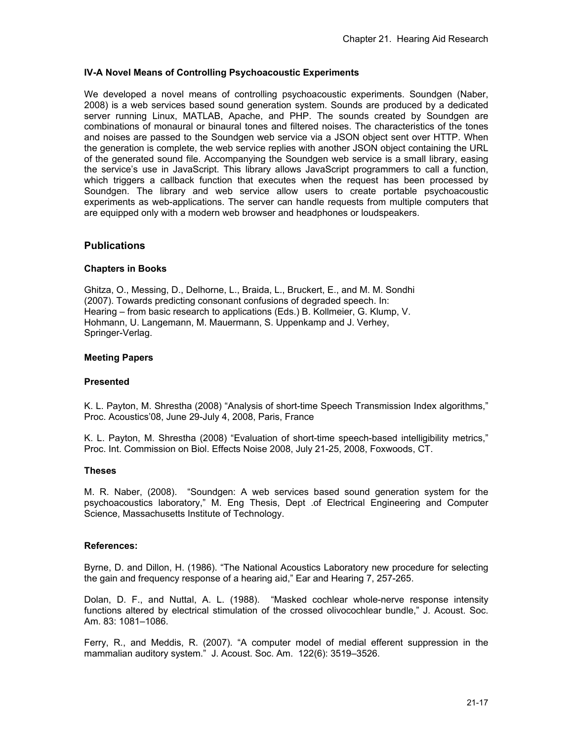## **IV-A Novel Means of Controlling Psychoacoustic Experiments**

We developed a novel means of controlling psychoacoustic experiments. Soundgen (Naber, 2008) is a web services based sound generation system. Sounds are produced by a dedicated server running Linux, MATLAB, Apache, and PHP. The sounds created by Soundgen are combinations of monaural or binaural tones and filtered noises. The characteristics of the tones and noises are passed to the Soundgen web service via a JSON object sent over HTTP. When the generation is complete, the web service replies with another JSON object containing the URL of the generated sound file. Accompanying the Soundgen web service is a small library, easing the service's use in JavaScript. This library allows JavaScript programmers to call a function, which triggers a callback function that executes when the request has been processed by Soundgen. The library and web service allow users to create portable psychoacoustic experiments as web-applications. The server can handle requests from multiple computers that are equipped only with a modern web browser and headphones or loudspeakers.

### **Publications**

#### **Chapters in Books**

Ghitza, O., Messing, D., Delhorne, L., Braida, L., Bruckert, E., and M. M. Sondhi (2007). Towards predicting consonant confusions of degraded speech. In: Hearing – from basic research to applications (Eds.) B. Kollmeier, G. Klump, V. Hohmann, U. Langemann, M. Mauermann, S. Uppenkamp and J. Verhey, Springer-Verlag.

#### **Meeting Papers**

#### **Presented**

K. L. Payton, M. Shrestha (2008) "Analysis of short-time Speech Transmission Index algorithms," Proc. Acoustics'08, June 29-July 4, 2008, Paris, France

K. L. Payton, M. Shrestha (2008) "Evaluation of short-time speech-based intelligibility metrics," Proc. Int. Commission on Biol. Effects Noise 2008, July 21-25, 2008, Foxwoods, CT.

#### **Theses**

M. R. Naber, (2008). "Soundgen: A web services based sound generation system for the psychoacoustics laboratory," M. Eng Thesis, Dept .of Electrical Engineering and Computer Science, Massachusetts Institute of Technology.

#### **References:**

Byrne, D. and Dillon, H. (1986). "The National Acoustics Laboratory new procedure for selecting the gain and frequency response of a hearing aid," Ear and Hearing 7, 257-265.

Dolan, D. F., and Nuttal, A. L. (1988). "Masked cochlear whole-nerve response intensity functions altered by electrical stimulation of the crossed olivocochlear bundle," J. Acoust. Soc. Am. 83: 1081–1086.

Ferry, R., and Meddis, R. (2007). "A computer model of medial efferent suppression in the mammalian auditory system." J. Acoust. Soc. Am. 122(6): 3519–3526.